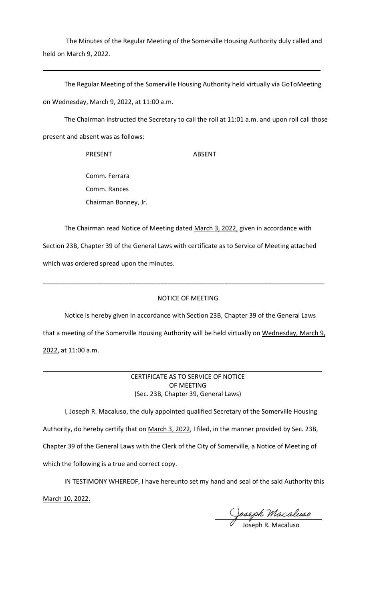The Minutes of the Regular Meeting of the Somerville Housing Authority duly called and held on March 9, 2022.

 $\mathcal{L}=\{1,2,3,4,5,6,6,7,10\}$ 

The Regular Meeting of the Somerville Housing Authority held virtually via GoToMeeting on Wednesday, March 9, 2022, at 11:00 a.m.

The Chairman instructed the Secretary to call the roll at 11:01 a.m. and upon roll call those present and absent was as follows:

> PRESENT ABSENT Comm. Ferrara Comm. Rances

Chairman Bonney, Jr.

The Chairman read Notice of Meeting dated March 3, 2022, given in accordance with Section 23B, Chapter 39 of the General Laws with certificate as to Service of Meeting attached which was ordered spread upon the minutes.

## NOTICE OF MEETING

\_\_\_\_\_\_\_\_\_\_\_\_\_\_\_\_\_\_\_\_\_\_\_\_\_\_\_\_\_\_\_\_\_\_\_\_\_\_\_\_\_\_\_\_\_\_\_\_\_\_\_\_\_\_\_\_\_\_\_\_\_\_\_\_\_\_\_\_\_\_\_\_\_\_\_\_\_\_\_

Notice is hereby given in accordance with Section 23B, Chapter 39 of the General Laws that a meeting of the Somerville Housing Authority will be held virtually on Wednesday, March 9, 2022, at 11:00 a.m.

> CERTIFICATE AS TO SERVICE OF NOTICE OF MEETING (Sec. 23B, Chapter 39, General Laws)

I, Joseph R. Macaluso, the duly appointed qualified Secretary of the Somerville Housing Authority, do hereby certify that on March 3, 2022, I filed, in the manner provided by Sec. 23B, Chapter 39 of the General Laws with the Clerk of the City of Somerville, a Notice of Meeting of which the following is a true and correct copy.

IN TESTIMONY WHEREOF, I have hereunto set my hand and seal of the said Authority this

March 10, 2022.

Joseph Macaluso

Joseph R. Macaluso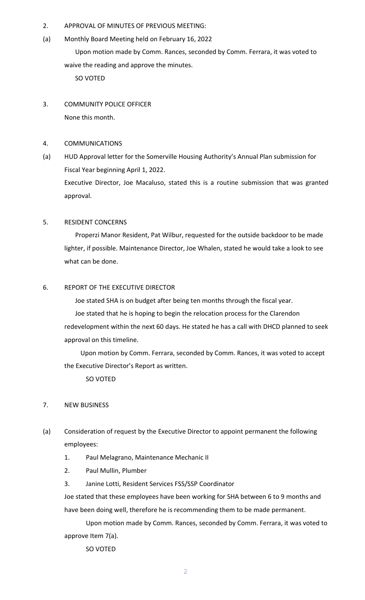- 2. APPROVAL OF MINUTES OF PREVIOUS MEETING:
- (a) Monthly Board Meeting held on February 16, 2022

Upon motion made by Comm. Rances, seconded by Comm. Ferrara, it was voted to waive the reading and approve the minutes.

SO VOTED

- 3. COMMUNITY POLICE OFFICER None this month.
- 4. COMMUNICATIONS
- (a) HUD Approval letter for the Somerville Housing Authority's Annual Plan submission for Fiscal Year beginning April 1, 2022. Executive Director, Joe Macaluso, stated this is a routine submission that was granted approval.

# 5. RESIDENT CONCERNS

Properzi Manor Resident, Pat Wilbur, requested for the outside backdoor to be made lighter, if possible. Maintenance Director, Joe Whalen, stated he would take a look to see what can be done.

# 6. REPORT OF THE EXECUTIVE DIRECTOR

Joe stated SHA is on budget after being ten months through the fiscal year.

Joe stated that he is hoping to begin the relocation process for the Clarendon redevelopment within the next 60 days. He stated he has a call with DHCD planned to seek approval on this timeline.

Upon motion by Comm. Ferrara, seconded by Comm. Rances, it was voted to accept the Executive Director's Report as written.

SO VOTED

# 7. NEW BUSINESS

- (a) Consideration of request by the Executive Director to appoint permanent the following employees:
	- 1. Paul Melagrano, Maintenance Mechanic II
	- 2. Paul Mullin, Plumber
	- 3. Janine Lotti, Resident Services FSS/SSP Coordinator

Joe stated that these employees have been working for SHA between 6 to 9 months and have been doing well, therefore he is recommending them to be made permanent.

Upon motion made by Comm. Rances, seconded by Comm. Ferrara, it was voted to approve Item 7(a).

SO VOTED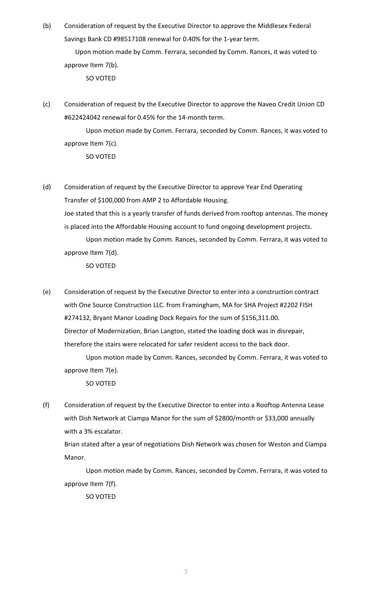(b) Consideration of request by the Executive Director to approve the Middlesex Federal Savings Bank CD #98517108 renewal for 0.40% for the 1-year term.

Upon motion made by Comm. Ferrara, seconded by Comm. Rances, it was voted to approve Item 7(b).

SO VOTED

(c) Consideration of request by the Executive Director to approve the Naveo Credit Union CD #622424042 renewal for 0.45% for the 14-month term.

Upon motion made by Comm. Ferrara, seconded by Comm. Rances, it was voted to approve Item 7(c).

SO VOTED

- (d) Consideration of request by the Executive Director to approve Year End Operating Transfer of \$100,000 from AMP 2 to Affordable Housing. Joe stated that this is a yearly transfer of funds derived from rooftop antennas. The money is placed into the Affordable Housing account to fund ongoing development projects.
	- Upon motion made by Comm. Rances, seconded by Comm. Ferrara, it was voted to approve Item 7(d).

SO VOTED

- (e) Consideration of request by the Executive Director to enter into a construction contract with One Source Construction LLC. from Framingham, MA for SHA Project #2202 FISH #274132, Bryant Manor Loading Dock Repairs for the sum of \$156,311.00. Director of Modernization, Brian Langton, stated the loading dock was in disrepair, therefore the stairs were relocated for safer resident access to the back door.
	- Upon motion made by Comm. Rances, seconded by Comm. Ferrara, it was voted to approve Item 7(e).

SO VOTED

(f) Consideration of request by the Executive Director to enter into a Rooftop Antenna Lease with Dish Network at Ciampa Manor for the sum of \$2800/month or \$33,000 annually with a 3% escalator.

Brian stated after a year of negotiations Dish Network was chosen for Weston and Ciampa Manor.

Upon motion made by Comm. Rances, seconded by Comm. Ferrara, it was voted to approve Item 7(f).

SO VOTED